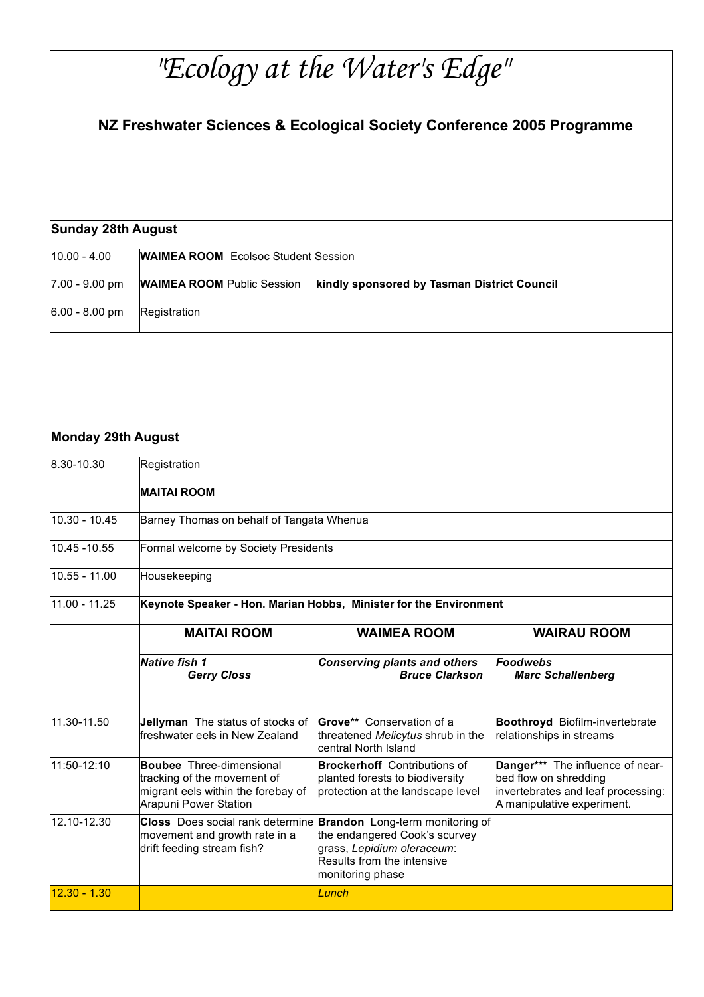## *"Ecology at the Water's Edge"*

## **NZ Freshwater Sciences & Ecological Society Conference 2005 Programme**

| Sunday 28th August |
|--------------------|
|--------------------|

| 10.00 - 4.00     | <b>WAIMEA ROOM</b> Ecolsoc Student Session                                       |  |  |
|------------------|----------------------------------------------------------------------------------|--|--|
| 7.00 - 9.00 pm   | <b>WAIMEA ROOM Public Session</b><br>kindly sponsored by Tasman District Council |  |  |
| $6.00 - 8.00$ pm | Registration                                                                     |  |  |

## **Monday 29th August**

| 8.30-10.30      | Registration                                                                                                                  |                                                                                                                                                                                   |                                                                                                                               |  |
|-----------------|-------------------------------------------------------------------------------------------------------------------------------|-----------------------------------------------------------------------------------------------------------------------------------------------------------------------------------|-------------------------------------------------------------------------------------------------------------------------------|--|
|                 | <b>MAITAI ROOM</b>                                                                                                            |                                                                                                                                                                                   |                                                                                                                               |  |
| $10.30 - 10.45$ | Barney Thomas on behalf of Tangata Whenua                                                                                     |                                                                                                                                                                                   |                                                                                                                               |  |
| 10.45 - 10.55   | Formal welcome by Society Presidents                                                                                          |                                                                                                                                                                                   |                                                                                                                               |  |
| $10.55 - 11.00$ | Housekeeping                                                                                                                  |                                                                                                                                                                                   |                                                                                                                               |  |
| $11.00 - 11.25$ | Keynote Speaker - Hon. Marian Hobbs, Minister for the Environment                                                             |                                                                                                                                                                                   |                                                                                                                               |  |
|                 | <b>MAITAI ROOM</b>                                                                                                            | <b>WAIMEA ROOM</b>                                                                                                                                                                | <b>WAIRAU ROOM</b>                                                                                                            |  |
|                 | <b>Native fish 1</b><br><b>Gerry Closs</b>                                                                                    | <b>Conserving plants and others</b><br><b>Bruce Clarkson</b>                                                                                                                      | Foodwebs<br><b>Marc Schallenberg</b>                                                                                          |  |
| 11.30-11.50     | Jellyman The status of stocks of<br>freshwater eels in New Zealand                                                            | Grove** Conservation of a<br>threatened Melicytus shrub in the<br>central North Island                                                                                            | Boothroyd Biofilm-invertebrate<br>relationships in streams                                                                    |  |
| 11:50-12:10     | <b>Boubee</b> Three-dimensional<br>tracking of the movement of<br>migrant eels within the forebay of<br>Arapuni Power Station | <b>Brockerhoff</b> Contributions of<br>planted forests to biodiversity<br>protection at the landscape level                                                                       | Danger*** The influence of near-<br>bed flow on shredding<br>invertebrates and leaf processing:<br>A manipulative experiment. |  |
| 12.10-12.30     | movement and growth rate in a<br>drift feeding stream fish?                                                                   | Closs Does social rank determine Brandon Long-term monitoring of<br>the endangered Cook's scurvey<br>grass, Lepidium oleraceum:<br>Results from the intensive<br>monitoring phase |                                                                                                                               |  |
| $12.30 - 1.30$  |                                                                                                                               | Lunch                                                                                                                                                                             |                                                                                                                               |  |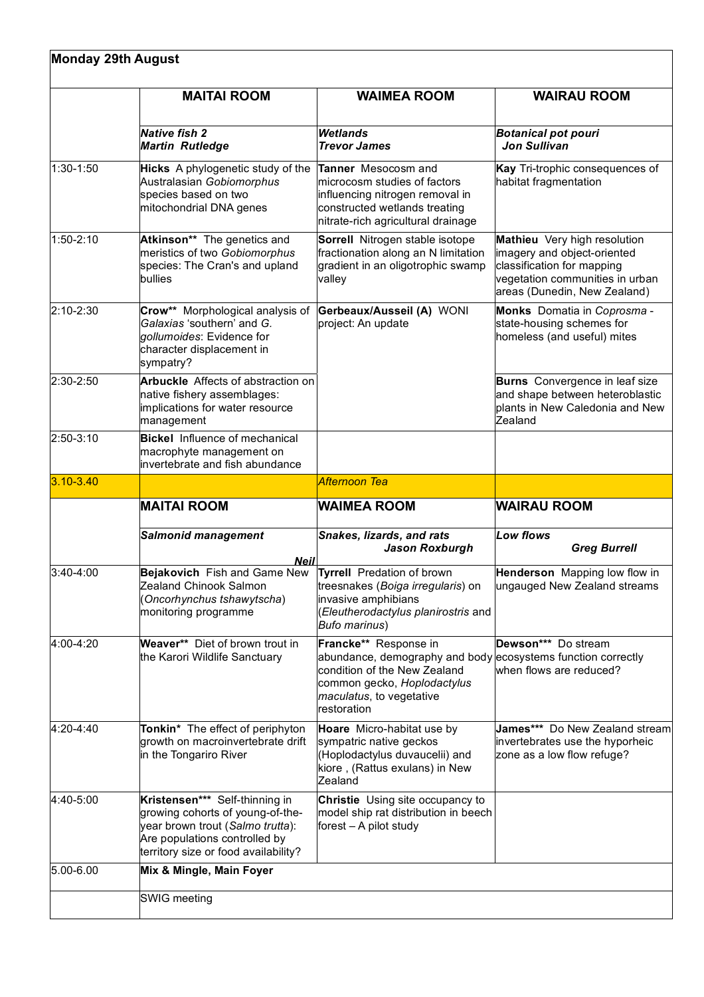| <b>Monday 29th August</b> |                                                                                                                                                                                 |                                                                                                                                                                                                 |                                                                                                                                                              |  |
|---------------------------|---------------------------------------------------------------------------------------------------------------------------------------------------------------------------------|-------------------------------------------------------------------------------------------------------------------------------------------------------------------------------------------------|--------------------------------------------------------------------------------------------------------------------------------------------------------------|--|
|                           | <b>MAITAI ROOM</b>                                                                                                                                                              | <b>WAIMEA ROOM</b>                                                                                                                                                                              | <b>WAIRAU ROOM</b>                                                                                                                                           |  |
|                           | <b>Native fish 2</b><br><b>Martin Rutledge</b>                                                                                                                                  | <b>Wetlands</b><br><b>Trevor James</b>                                                                                                                                                          | <b>Botanical pot pouri</b><br><b>Jon Sullivan</b>                                                                                                            |  |
| $1:30-1:50$               | Hicks A phylogenetic study of the<br>Australasian Gobiomorphus<br>species based on two<br>mitochondrial DNA genes                                                               | <b>Tanner</b> Mesocosm and<br>microcosm studies of factors<br>influencing nitrogen removal in<br>constructed wetlands treating<br>nitrate-rich agricultural drainage                            | Kay Tri-trophic consequences of<br>habitat fragmentation                                                                                                     |  |
| $1:50-2:10$               | Atkinson** The genetics and<br>meristics of two Gobiomorphus<br>species: The Cran's and upland<br>bullies                                                                       | Sorrell Nitrogen stable isotope<br>fractionation along an N limitation<br>gradient in an oligotrophic swamp<br>valley                                                                           | Mathieu Very high resolution<br>imagery and object-oriented<br>classification for mapping<br>vegetation communities in urban<br>areas (Dunedin, New Zealand) |  |
| 2:10-2:30                 | Crow** Morphological analysis of<br>Galaxias 'southern' and G.<br>gollumoides: Evidence for<br>character displacement in<br>sympatry?                                           | Gerbeaux/Ausseil (A) WONI<br>project: An update                                                                                                                                                 | Monks Domatia in Coprosma -<br>state-housing schemes for<br>homeless (and useful) mites                                                                      |  |
| 2:30-2:50                 | <b>Arbuckle</b> Affects of abstraction on<br>native fishery assemblages:<br>implications for water resource<br>management                                                       |                                                                                                                                                                                                 | <b>Burns</b> Convergence in leaf size<br>and shape between heteroblastic<br>plants in New Caledonia and New<br>Zealand                                       |  |
| 2:50-3:10                 | <b>Bickel</b> Influence of mechanical<br>macrophyte management on<br>invertebrate and fish abundance                                                                            |                                                                                                                                                                                                 |                                                                                                                                                              |  |
| $3.10 - 3.40$             |                                                                                                                                                                                 | Afternoon Tea                                                                                                                                                                                   |                                                                                                                                                              |  |
|                           | <b>MAITAI ROOM</b>                                                                                                                                                              | <b>WAIMEA ROOM</b>                                                                                                                                                                              | <b>WAIRAU ROOM</b>                                                                                                                                           |  |
|                           | <b>Salmonid management</b><br><b>Neil</b>                                                                                                                                       | Snakes, lizards, and rats<br><b>Jason Roxburgh</b>                                                                                                                                              | <b>Low flows</b><br><b>Greg Burrell</b>                                                                                                                      |  |
| 3:40-4:00                 | Bejakovich Fish and Game New<br>Zealand Chinook Salmon<br>(Oncorhynchus tshawytscha)<br>monitoring programme                                                                    | Tyrrell Predation of brown<br> treesnakes ( <i>Boiga irregularis</i> ) on<br>invasive amphibians<br>(Eleutherodactylus planirostris and<br><b>Bufo marinus</b> )                                | Henderson Mapping low flow in<br>ungauged New Zealand streams                                                                                                |  |
| 4:00-4:20                 | Weaver** Diet of brown trout in<br>the Karori Wildlife Sanctuary                                                                                                                | Francke** Response in<br>abundance, demography and body ecosystems function correctly<br>condition of the New Zealand<br>common gecko, Hoplodactylus<br>maculatus, to vegetative<br>restoration | Dewson*** Do stream<br>when flows are reduced?                                                                                                               |  |
| $ 4:20 - 4:40 $           | Tonkin* The effect of periphyton<br>growth on macroinvertebrate drift<br>in the Tongariro River                                                                                 | Hoare Micro-habitat use by<br>sympatric native geckos<br>(Hoplodactylus duvaucelii) and<br>kiore, (Rattus exulans) in New<br>Zealand                                                            | James*** Do New Zealand stream<br>invertebrates use the hyporheic<br>zone as a low flow refuge?                                                              |  |
| 4:40-5:00                 | Kristensen*** Self-thinning in<br>growing cohorts of young-of-the-<br>year brown trout (Salmo trutta):<br>Are populations controlled by<br>territory size or food availability? | <b>Christie</b> Using site occupancy to<br>model ship rat distribution in beech<br>forest $-$ A pilot study                                                                                     |                                                                                                                                                              |  |
| $ 5.00 - 6.00 $           | Mix & Mingle, Main Foyer                                                                                                                                                        |                                                                                                                                                                                                 |                                                                                                                                                              |  |
|                           | SWIG meeting                                                                                                                                                                    |                                                                                                                                                                                                 |                                                                                                                                                              |  |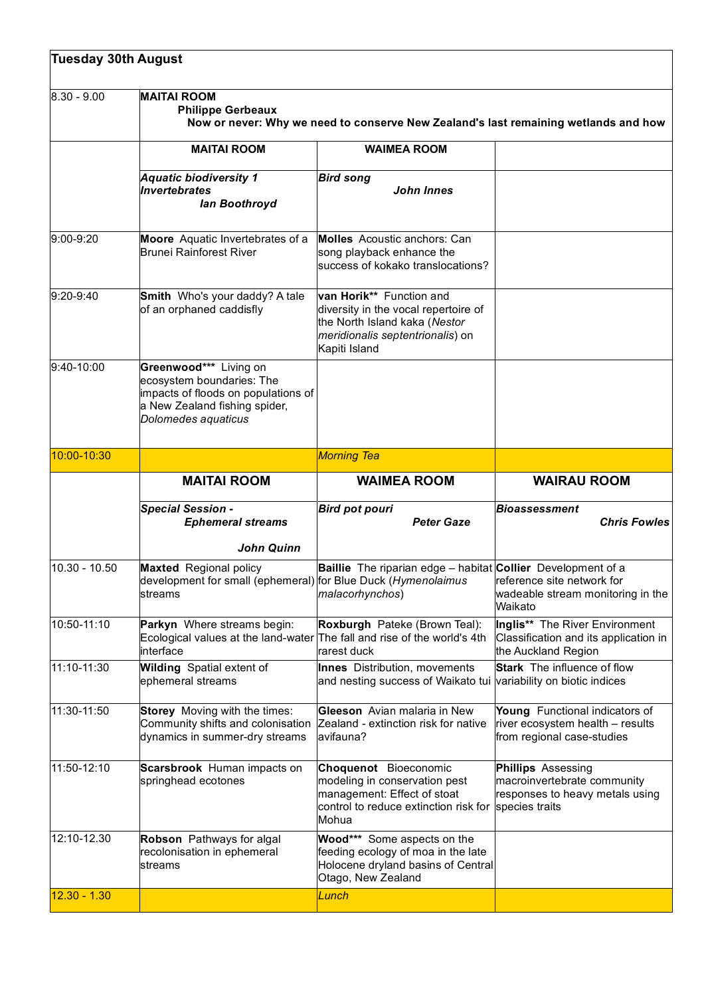| <b>Tuesday 30th August</b> |                                                                                                                                                    |                                                                                                                                                                                             |                                                                                                               |  |
|----------------------------|----------------------------------------------------------------------------------------------------------------------------------------------------|---------------------------------------------------------------------------------------------------------------------------------------------------------------------------------------------|---------------------------------------------------------------------------------------------------------------|--|
| $ 8.30 - 9.00 $            | <b>MAITAI ROOM</b><br><b>Philippe Gerbeaux</b><br>Now or never: Why we need to conserve New Zealand's last remaining wetlands and how              |                                                                                                                                                                                             |                                                                                                               |  |
|                            | <b>MAITAI ROOM</b>                                                                                                                                 | <b>WAIMEA ROOM</b>                                                                                                                                                                          |                                                                                                               |  |
|                            | <b>Aquatic biodiversity 1</b><br><b>Invertebrates</b><br>lan Boothroyd                                                                             | <b>Bird song</b><br><b>John Innes</b>                                                                                                                                                       |                                                                                                               |  |
| $9:00-9:20$                | Moore Aquatic Invertebrates of a<br><b>Brunei Rainforest River</b>                                                                                 | Molles Acoustic anchors: Can<br>song playback enhance the<br>success of kokako translocations?                                                                                              |                                                                                                               |  |
| $9:20-9:40$                | Smith Who's your daddy? A tale<br>of an orphaned caddisfly                                                                                         | van Horik** Function and<br>diversity in the vocal repertoire of<br>the North Island kaka (Nestor<br>meridionalis septentrionalis) on<br>Kapiti Island                                      |                                                                                                               |  |
| $9:40-10:00$               | Greenwood*** Living on<br>ecosystem boundaries: The<br>impacts of floods on populations of<br>a New Zealand fishing spider,<br>Dolomedes aquaticus |                                                                                                                                                                                             |                                                                                                               |  |
| 10:00-10:30                |                                                                                                                                                    | <b>Morning Tea</b>                                                                                                                                                                          |                                                                                                               |  |
|                            | <b>MAITAI ROOM</b>                                                                                                                                 | <b>WAIMEA ROOM</b>                                                                                                                                                                          | <b>WAIRAU ROOM</b>                                                                                            |  |
|                            | <b>Special Session -</b><br><b>Ephemeral streams</b>                                                                                               | <b>Bird pot pouri</b><br><b>Peter Gaze</b>                                                                                                                                                  | <b>Bioassessment</b><br><b>Chris Fowles</b>                                                                   |  |
| $10.30 - 10.50$            | <b>John Quinn</b><br><b>Maxted</b> Regional policy<br>streams                                                                                      | <b>Baillie</b> The riparian edge – habitat <b>Collier</b> Development of a<br>development for small (ephemeral) for Blue Duck (Hymenolaimus   reference site network for<br>malacorhynchos) | wadeable stream monitoring in the<br>Waikato                                                                  |  |
| 10:50-11:10                | Parkyn Where streams begin:<br>Ecological values at the land-water The fall and rise of the world's 4th<br>interface                               | Roxburgh Pateke (Brown Teal):<br>rarest duck                                                                                                                                                | Inglis** The River Environment<br>Classification and its application in<br>the Auckland Region                |  |
| 11:10-11:30                | <b>Wilding</b> Spatial extent of<br>ephemeral streams                                                                                              | Innes Distribution, movements<br>and nesting success of Waikato tui                                                                                                                         | <b>Stark</b> The influence of flow<br>variability on biotic indices                                           |  |
| 11:30-11:50                | Storey Moving with the times:<br>Community shifts and colonisation<br>dynamics in summer-dry streams                                               | Gleeson Avian malaria in New<br>Zealand - extinction risk for native<br>avifauna?                                                                                                           | Young Functional indicators of<br>river ecosystem health - results<br>from regional case-studies              |  |
| 11:50-12:10                | Scarsbrook Human impacts on<br>springhead ecotones                                                                                                 | Choquenot Bioeconomic<br>modeling in conservation pest<br>management: Effect of stoat<br>control to reduce extinction risk for<br>Mohua                                                     | <b>Phillips</b> Assessing<br>macroinvertebrate community<br>responses to heavy metals using<br>species traits |  |
| 12:10-12.30                | Robson Pathways for algal<br>recolonisation in ephemeral<br>streams                                                                                | Wood*** Some aspects on the<br>feeding ecology of moa in the late<br>Holocene dryland basins of Central<br>Otago, New Zealand                                                               |                                                                                                               |  |
| $12.30 - 1.30$             |                                                                                                                                                    | Lunch                                                                                                                                                                                       |                                                                                                               |  |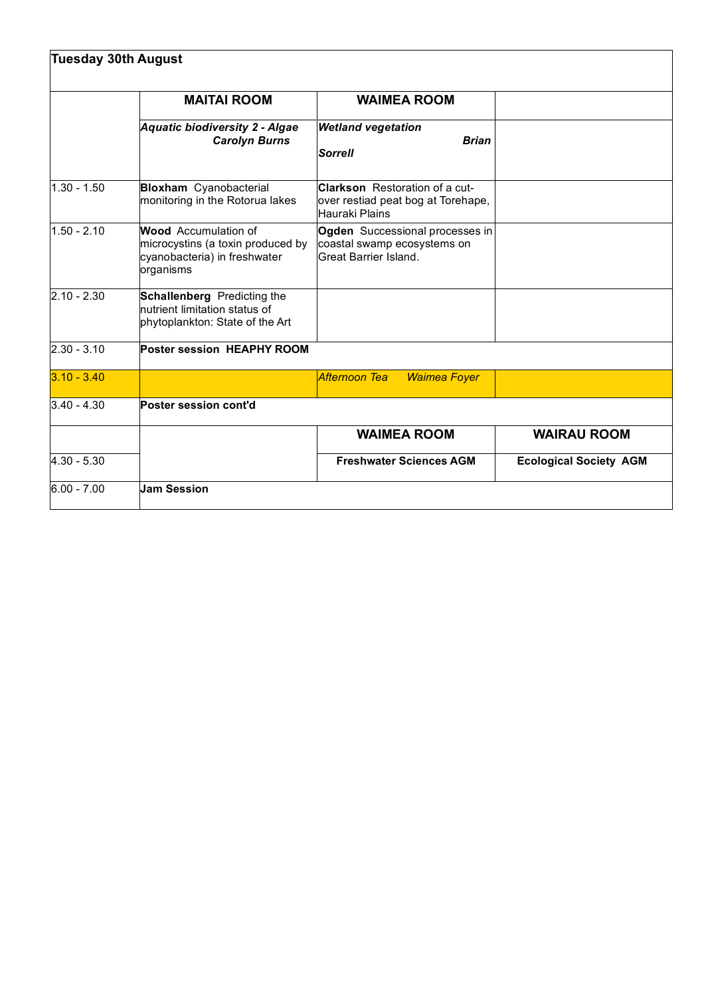| <b>Tuesday 30th August</b> |                                                                                                        |                                                                                               |                               |  |
|----------------------------|--------------------------------------------------------------------------------------------------------|-----------------------------------------------------------------------------------------------|-------------------------------|--|
|                            | <b>MAITAI ROOM</b>                                                                                     | <b>WAIMEA ROOM</b>                                                                            |                               |  |
|                            | Aquatic biodiversity 2 - Algae<br><b>Carolyn Burns</b>                                                 | <b>Wetland vegetation</b><br><b>Brian</b><br><b>Sorrell</b>                                   |                               |  |
| $1.30 - 1.50$              | <b>Bloxham</b> Cyanobacterial<br>monitoring in the Rotorua lakes                                       | <b>Clarkson</b> Restoration of a cut-<br>over restiad peat bog at Torehape,<br>Hauraki Plains |                               |  |
| $1.50 - 2.10$              | Wood Accumulation of<br>microcystins (a toxin produced by<br>cyanobacteria) in freshwater<br>organisms | Ogden Successional processes in<br>coastal swamp ecosystems on<br>Great Barrier Island.       |                               |  |
| $ 2.10 - 2.30 $            | Schallenberg Predicting the<br>nutrient limitation status of<br>phytoplankton: State of the Art        |                                                                                               |                               |  |
| $ 2.30 - 3.10 $            | <b>Poster session HEAPHY ROOM</b>                                                                      |                                                                                               |                               |  |
| $3.10 - 3.40$              |                                                                                                        | Afternoon Tea<br><b>Waimea Foyer</b>                                                          |                               |  |
| $3.40 - 4.30$              | Poster session cont'd                                                                                  |                                                                                               |                               |  |
|                            |                                                                                                        | <b>WAIMEA ROOM</b>                                                                            | <b>WAIRAU ROOM</b>            |  |
| $ 4.30 - 5.30 $            |                                                                                                        | <b>Freshwater Sciences AGM</b>                                                                | <b>Ecological Society AGM</b> |  |
| $ 6.00 - 7.00 $            | <b>Jam Session</b>                                                                                     |                                                                                               |                               |  |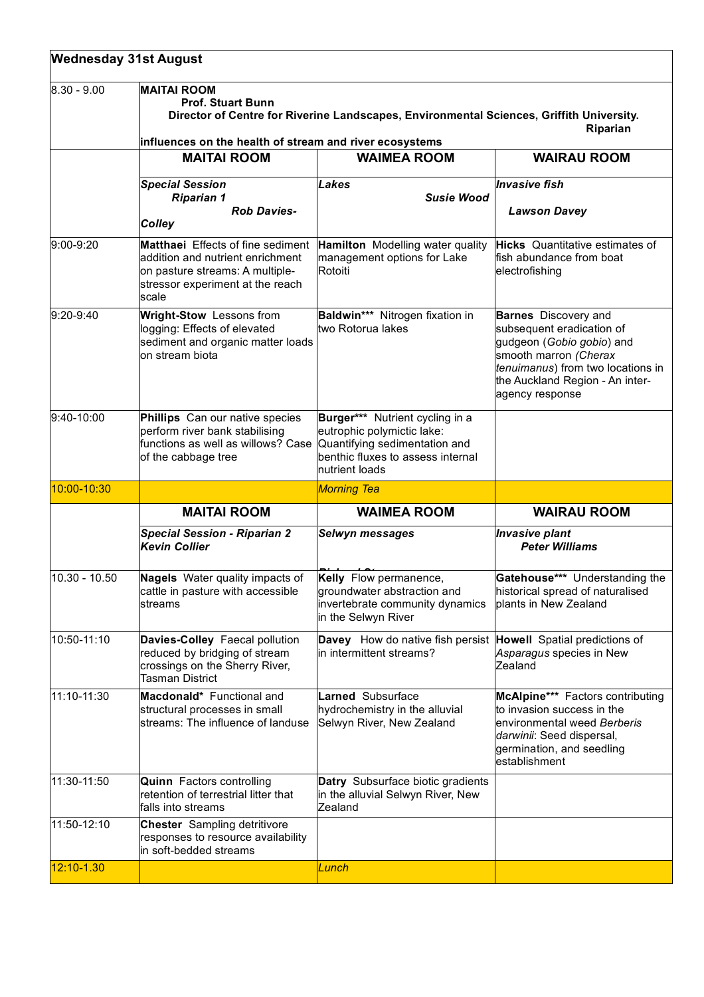| <b>Wednesday 31st August</b> |                                                                                                                                                                                                                   |                                                                                                                                                       |                                                                                                                                                                                                           |  |
|------------------------------|-------------------------------------------------------------------------------------------------------------------------------------------------------------------------------------------------------------------|-------------------------------------------------------------------------------------------------------------------------------------------------------|-----------------------------------------------------------------------------------------------------------------------------------------------------------------------------------------------------------|--|
| $ 8.30 - 9.00 $              | <b>MAITAI ROOM</b><br><b>Prof. Stuart Bunn</b><br>Director of Centre for Riverine Landscapes, Environmental Sciences, Griffith University.<br>Riparian<br>influences on the health of stream and river ecosystems |                                                                                                                                                       |                                                                                                                                                                                                           |  |
|                              | <b>MAITAI ROOM</b>                                                                                                                                                                                                | <b>WAIMEA ROOM</b>                                                                                                                                    | <b>WAIRAU ROOM</b>                                                                                                                                                                                        |  |
|                              | <b>Special Session</b><br><b>Riparian 1</b><br><b>Rob Davies-</b><br><b>Colley</b>                                                                                                                                | Lakes<br><b>Susie Wood</b>                                                                                                                            | <b>Invasive fish</b><br><b>Lawson Davey</b>                                                                                                                                                               |  |
| $9:00-9:20$                  | <b>Matthaei</b> Effects of fine sediment<br>addition and nutrient enrichment<br>on pasture streams: A multiple-<br>stressor experiment at the reach<br>scale                                                      | <b>Hamilton</b> Modelling water quality<br>management options for Lake<br>Rotoiti                                                                     | <b>Hicks</b> Quantitative estimates of<br>fish abundance from boat<br>electrofishing                                                                                                                      |  |
| $9:20-9:40$                  | Wright-Stow Lessons from<br>logging: Effects of elevated<br>sediment and organic matter loads<br>on stream biota                                                                                                  | Baldwin*** Nitrogen fixation in<br>two Rotorua lakes                                                                                                  | <b>Barnes</b> Discovery and<br>subsequent eradication of<br>gudgeon (Gobio gobio) and<br>smooth marron (Cherax<br>tenuimanus) from two locations in<br>the Auckland Region - An inter-<br>agency response |  |
| 9:40-10:00                   | Phillips Can our native species<br>perform river bank stabilising<br>functions as well as willows? Case<br>of the cabbage tree                                                                                    | Burger*** Nutrient cycling in a<br>eutrophic polymictic lake:<br>Quantifying sedimentation and<br>benthic fluxes to assess internal<br>nutrient loads |                                                                                                                                                                                                           |  |
| 10:00-10:30                  |                                                                                                                                                                                                                   | <b>Morning Tea</b>                                                                                                                                    |                                                                                                                                                                                                           |  |
|                              | <b>MAITAI ROOM</b>                                                                                                                                                                                                | <b>WAIMEA ROOM</b>                                                                                                                                    | <b>WAIRAU ROOM</b>                                                                                                                                                                                        |  |
|                              | <b>Special Session - Riparian 2</b><br><b>Kevin Collier</b>                                                                                                                                                       | <b>Selwyn messages</b>                                                                                                                                | <b>Invasive plant</b><br><b>Peter Williams</b>                                                                                                                                                            |  |
| $10.30 - 10.50$              | Nagels Water quality impacts of<br>cattle in pasture with accessible<br>streams                                                                                                                                   | Kelly Flow permanence,<br>groundwater abstraction and<br>invertebrate community dynamics<br>in the Selwyn River                                       | Gatehouse*** Understanding the<br>historical spread of naturalised<br>plants in New Zealand                                                                                                               |  |
| 10:50-11:10                  | Davies-Colley Faecal pollution<br>reduced by bridging of stream<br>crossings on the Sherry River,<br><b>Tasman District</b>                                                                                       | Davey How do native fish persist Howell Spatial predictions of<br>in intermittent streams?                                                            | Asparagus species in New<br>Zealand                                                                                                                                                                       |  |
| 11:10-11:30                  | Macdonald* Functional and<br>structural processes in small<br>streams: The influence of landuse                                                                                                                   | Larned Subsurface<br>hydrochemistry in the alluvial<br>Selwyn River, New Zealand                                                                      | McAlpine*** Factors contributing<br>to invasion success in the<br>environmental weed Berberis<br>darwinii: Seed dispersal,<br>germination, and seedling<br>establishment                                  |  |
| 11:30-11:50                  | <b>Quinn</b> Factors controlling<br>retention of terrestrial litter that<br>falls into streams                                                                                                                    | Datry Subsurface biotic gradients<br>in the alluvial Selwyn River, New<br><b>Zealand</b>                                                              |                                                                                                                                                                                                           |  |
| 11:50-12:10                  | <b>Chester</b> Sampling detritivore<br>responses to resource availability<br>in soft-bedded streams                                                                                                               |                                                                                                                                                       |                                                                                                                                                                                                           |  |
| 12:10-1.30                   |                                                                                                                                                                                                                   | Lunch                                                                                                                                                 |                                                                                                                                                                                                           |  |